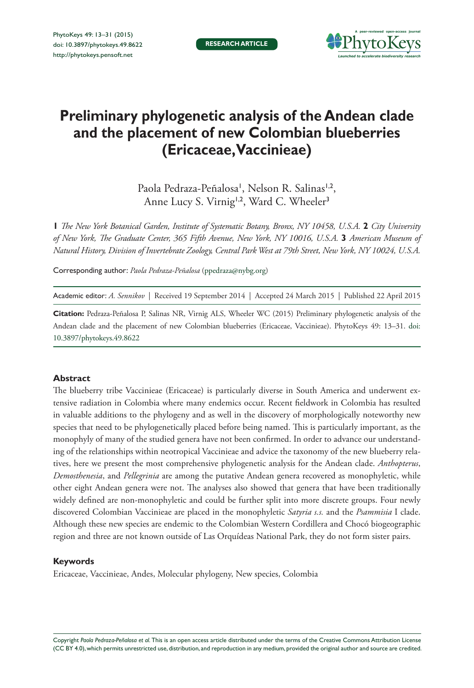

# **Preliminary phylogenetic analysis of the Andean clade and the placement of new Colombian blueberries (Ericaceae, Vaccinieae)**

Paola Pedraza-Peñalosa<sup>1</sup>, Nelson R. Salinas<sup>1,2</sup>, Anne Lucy S. Virnig<sup>1,2</sup>, Ward C. Wheeler<sup>3</sup>

**1** *The New York Botanical Garden, Institute of Systematic Botany, Bronx, NY 10458, U.S.A.* **2** *City University of New York, The Graduate Center, 365 Fifth Avenue, New York, NY 10016, U.S.A.* **3** *American Museum of Natural History, Division of Invertebrate Zoology, Central Park West at 79th Street, New York, NY 10024, U.S.A.*

Corresponding author: *Paola Pedraza-Peñalosa* ([ppedraza@nybg.org](mailto:ppedraza@nybg.org))

Academic editor: *A. Sennikov* | Received 19 September 2014 | Accepted 24 March 2015 | Published 22 April 2015

**Citation:** Pedraza-Peñalosa P, Salinas NR, Virnig ALS, Wheeler WC (2015) Preliminary phylogenetic analysis of the Andean clade and the placement of new Colombian blueberries (Ericaceae, Vaccinieae). PhytoKeys 49: 13–31. [doi:](http://dx.doi.org/10.3897/phytokeys.49.8622) [10.3897/phytokeys.49.8622](http://dx.doi.org/10.3897/phytokeys.49.8622)

#### **Abstract**

The blueberry tribe Vaccinieae (Ericaceae) is particularly diverse in South America and underwent extensive radiation in Colombia where many endemics occur. Recent fieldwork in Colombia has resulted in valuable additions to the phylogeny and as well in the discovery of morphologically noteworthy new species that need to be phylogenetically placed before being named. This is particularly important, as the monophyly of many of the studied genera have not been confirmed. In order to advance our understanding of the relationships within neotropical Vaccinieae and advice the taxonomy of the new blueberry relatives, here we present the most comprehensive phylogenetic analysis for the Andean clade. *Anthopterus*, *Demosthenesia*, and *Pellegrinia* are among the putative Andean genera recovered as monophyletic, while other eight Andean genera were not. The analyses also showed that genera that have been traditionally widely defined are non-monophyletic and could be further split into more discrete groups. Four newly discovered Colombian Vaccinieae are placed in the monophyletic *Satyria s.s.* and the *Psammisia* I clade. Although these new species are endemic to the Colombian Western Cordillera and Chocó biogeographic region and three are not known outside of Las Orquídeas National Park, they do not form sister pairs.

#### **Keywords**

Ericaceae, Vaccinieae, Andes, Molecular phylogeny, New species, Colombia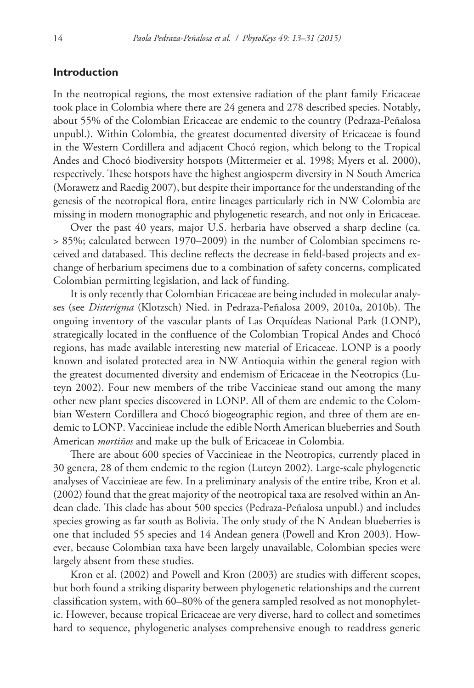# **Introduction**

In the neotropical regions, the most extensive radiation of the plant family Ericaceae took place in Colombia where there are 24 genera and 278 described species. Notably, about 55% of the Colombian Ericaceae are endemic to the country (Pedraza-Peñalosa unpubl.). Within Colombia, the greatest documented diversity of Ericaceae is found in the Western Cordillera and adjacent Chocó region, which belong to the Tropical Andes and Chocó biodiversity hotspots (Mittermeier et al. 1998; Myers et al. 2000), respectively. These hotspots have the highest angiosperm diversity in N South America (Morawetz and Raedig 2007), but despite their importance for the understanding of the genesis of the neotropical flora, entire lineages particularly rich in NW Colombia are missing in modern monographic and phylogenetic research, and not only in Ericaceae.

Over the past 40 years, major U.S. herbaria have observed a sharp decline (ca. > 85%; calculated between 1970–2009) in the number of Colombian specimens received and databased. This decline reflects the decrease in field-based projects and exchange of herbarium specimens due to a combination of safety concerns, complicated Colombian permitting legislation, and lack of funding.

It is only recently that Colombian Ericaceae are being included in molecular analyses (see *Disterigma* (Klotzsch) Nied. in Pedraza-Peñalosa 2009, 2010a, 2010b). The ongoing inventory of the vascular plants of Las Orquídeas National Park (LONP), strategically located in the confluence of the Colombian Tropical Andes and Chocó regions, has made available interesting new material of Ericaceae. LONP is a poorly known and isolated protected area in NW Antioquia within the general region with the greatest documented diversity and endemism of Ericaceae in the Neotropics (Luteyn 2002). Four new members of the tribe Vaccinieae stand out among the many other new plant species discovered in LONP. All of them are endemic to the Colombian Western Cordillera and Chocó biogeographic region, and three of them are endemic to LONP. Vaccinieae include the edible North American blueberries and South American *mortiños* and make up the bulk of Ericaceae in Colombia.

There are about 600 species of Vaccinieae in the Neotropics, currently placed in 30 genera, 28 of them endemic to the region (Luteyn 2002). Large-scale phylogenetic analyses of Vaccinieae are few. In a preliminary analysis of the entire tribe, Kron et al. (2002) found that the great majority of the neotropical taxa are resolved within an Andean clade. This clade has about 500 species (Pedraza-Peñalosa unpubl.) and includes species growing as far south as Bolivia. The only study of the N Andean blueberries is one that included 55 species and 14 Andean genera (Powell and Kron 2003). However, because Colombian taxa have been largely unavailable, Colombian species were largely absent from these studies.

Kron et al. (2002) and Powell and Kron (2003) are studies with different scopes, but both found a striking disparity between phylogenetic relationships and the current classification system, with 60–80% of the genera sampled resolved as not monophyletic. However, because tropical Ericaceae are very diverse, hard to collect and sometimes hard to sequence, phylogenetic analyses comprehensive enough to readdress generic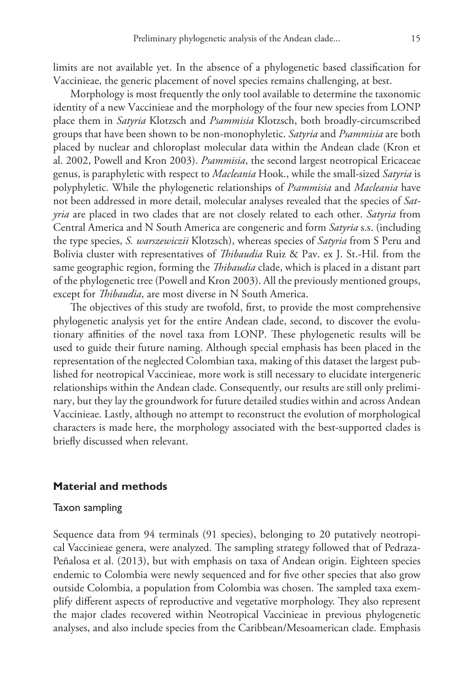limits are not available yet. In the absence of a phylogenetic based classification for Vaccinieae, the generic placement of novel species remains challenging, at best.

Morphology is most frequently the only tool available to determine the taxonomic identity of a new Vaccinieae and the morphology of the four new species from LONP place them in *Satyria* Klotzsch and *Psammisia* Klotzsch, both broadly-circumscribed groups that have been shown to be non-monophyletic. *Satyria* and *Psammisia* are both placed by nuclear and chloroplast molecular data within the Andean clade (Kron et al. 2002, Powell and Kron 2003). *Psammisia*, the second largest neotropical Ericaceae genus, is paraphyletic with respect to *Macleania* Hook., while the small-sized *Satyria* is polyphyletic. While the phylogenetic relationships of *Psammisia* and *Macleania* have not been addressed in more detail, molecular analyses revealed that the species of *Satyria* are placed in two clades that are not closely related to each other. *Satyria* from Central America and N South America are congeneric and form *Satyria* s.s. (including the type species, *S. warszewiczii* Klotzsch), whereas species of *Satyria* from S Peru and Bolivia cluster with representatives of *Thibaudia* Ruiz & Pav. ex J. St.-Hil. from the same geographic region, forming the *Thibaudia* clade, which is placed in a distant part of the phylogenetic tree (Powell and Kron 2003). All the previously mentioned groups, except for *Thibaudia*, are most diverse in N South America.

The objectives of this study are twofold, first, to provide the most comprehensive phylogenetic analysis yet for the entire Andean clade, second, to discover the evolutionary affinities of the novel taxa from LONP. These phylogenetic results will be used to guide their future naming. Although special emphasis has been placed in the representation of the neglected Colombian taxa, making of this dataset the largest published for neotropical Vaccinieae, more work is still necessary to elucidate intergeneric relationships within the Andean clade. Consequently, our results are still only preliminary, but they lay the groundwork for future detailed studies within and across Andean Vaccinieae. Lastly, although no attempt to reconstruct the evolution of morphological characters is made here, the morphology associated with the best-supported clades is briefly discussed when relevant.

## **Material and methods**

## Taxon sampling

Sequence data from 94 terminals (91 species), belonging to 20 putatively neotropical Vaccinieae genera, were analyzed. The sampling strategy followed that of Pedraza-Peñalosa et al. (2013), but with emphasis on taxa of Andean origin. Eighteen species endemic to Colombia were newly sequenced and for five other species that also grow outside Colombia, a population from Colombia was chosen. The sampled taxa exemplify different aspects of reproductive and vegetative morphology. They also represent the major clades recovered within Neotropical Vaccinieae in previous phylogenetic analyses, and also include species from the Caribbean/Mesoamerican clade. Emphasis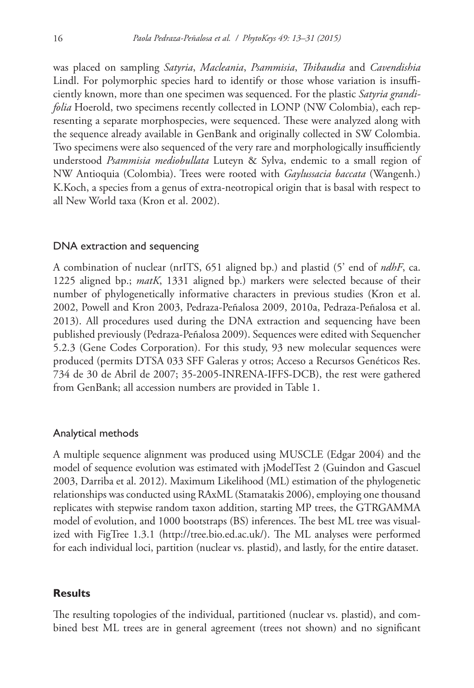was placed on sampling *Satyria*, *Macleania*, *Psammisia*, *Thibaudia* and *Cavendishia*  Lindl. For polymorphic species hard to identify or those whose variation is insufficiently known, more than one specimen was sequenced. For the plastic *Satyria grandifolia* Hoerold, two specimens recently collected in LONP (NW Colombia), each representing a separate morphospecies, were sequenced. These were analyzed along with the sequence already available in GenBank and originally collected in SW Colombia. Two specimens were also sequenced of the very rare and morphologically insufficiently understood *Psammisia mediobullata* Luteyn & Sylva, endemic to a small region of NW Antioquia (Colombia). Trees were rooted with *Gaylussacia baccata* (Wangenh.) K.Koch, a species from a genus of extra-neotropical origin that is basal with respect to all New World taxa (Kron et al. 2002).

#### DNA extraction and sequencing

A combination of nuclear (nrITS, 651 aligned bp.) and plastid (5' end of *ndhF*, ca. 1225 aligned bp.; *matK*, 1331 aligned bp.) markers were selected because of their number of phylogenetically informative characters in previous studies (Kron et al. 2002, Powell and Kron 2003, Pedraza-Peñalosa 2009, 2010a, Pedraza-Peñalosa et al. 2013). All procedures used during the DNA extraction and sequencing have been published previously (Pedraza-Peñalosa 2009). Sequences were edited with Sequencher 5.2.3 (Gene Codes Corporation). For this study, 93 new molecular sequences were produced (permits DTSA 033 SFF Galeras y otros; Acceso a Recursos Genéticos Res. 734 de 30 de Abril de 2007; 35-2005-INRENA-IFFS-DCB), the rest were gathered from GenBank; all accession numbers are provided in Table 1.

#### Analytical methods

A multiple sequence alignment was produced using MUSCLE (Edgar 2004) and the model of sequence evolution was estimated with jModelTest 2 (Guindon and Gascuel 2003, Darriba et al. 2012). Maximum Likelihood (ML) estimation of the phylogenetic relationships was conducted using RAxML (Stamatakis 2006), employing one thousand replicates with stepwise random taxon addition, starting MP trees, the GTRGAMMA model of evolution, and 1000 bootstraps (BS) inferences. The best ML tree was visualized with FigTree 1.3.1 [\(http://tree.bio.ed.ac.uk/](http://tree.bio.ed.ac.uk/)). The ML analyses were performed for each individual loci, partition (nuclear vs. plastid), and lastly, for the entire dataset.

## **Results**

The resulting topologies of the individual, partitioned (nuclear vs. plastid), and combined best ML trees are in general agreement (trees not shown) and no significant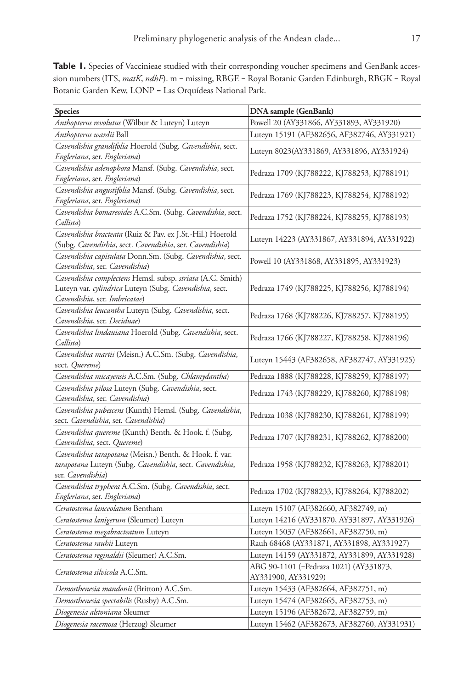Table 1. Species of Vaccinieae studied with their corresponding voucher specimens and GenBank accession numbers (ITS, *matK*, *ndhF*). m = missing, RBGE = Royal Botanic Garden Edinburgh, RBGK = Royal Botanic Garden Kew, LONP = Las Orquídeas National Park.

| <b>Species</b>                                                                                                                                         | <b>DNA</b> sample (GenBank)                                   |
|--------------------------------------------------------------------------------------------------------------------------------------------------------|---------------------------------------------------------------|
| Anthopterus revolutus (Wilbur & Luteyn) Luteyn                                                                                                         | Powell 20 (AY331866, AY331893, AY331920)                      |
| Anthopterus wardii Ball                                                                                                                                | Luteyn 15191 (AF382656, AF382746, AY331921)                   |
| Cavendishia grandifolia Hoerold (Subg. Cavendishia, sect.<br>Engleriana, ser. Engleriana)                                                              | Luteyn 8023(AY331869, AY331896, AY331924)                     |
| Cavendishia adenophora Mansf. (Subg. Cavendishia, sect.<br>Engleriana, ser. Engleriana)                                                                | Pedraza 1709 (KJ788222, KJ788253, KJ788191)                   |
| Cavendishia angustifolia Mansf. (Subg. Cavendishia, sect.<br>Engleriana, ser. Engleriana)                                                              | Pedraza 1769 (KJ788223, KJ788254, KJ788192)                   |
| Cavendishia bomareoides A.C.Sm. (Subg. Cavendishia, sect.<br>Callista)                                                                                 | Pedraza 1752 (KJ788224, KJ788255, KJ788193)                   |
| Cavendishia bracteata (Ruiz & Pav. ex J.St.-Hil.) Hoerold<br>(Subg. Cavendishia, sect. Cavendishia, ser. Cavendishia)                                  | Luteyn 14223 (AY331867, AY331894, AY331922)                   |
| Cavendishia capitulata Donn.Sm. (Subg. Cavendishia, sect.<br>Cavendishia, ser. Cavendishia)                                                            | Powell 10 (AY331868, AY331895, AY331923)                      |
| Cavendishia complectens Hemsl. subsp. striata (A.C. Smith)<br>Luteyn var. cylindrica Luteyn (Subg. Cavendishia, sect.<br>Cavendishia, ser. Imbricatae) | Pedraza 1749 (KJ788225, KJ788256, KJ788194)                   |
| Cavendishia leucantha Luteyn (Subg. Cavendishia, sect.<br>Cavendishia, ser. Deciduae)                                                                  | Pedraza 1768 (KJ788226, KJ788257, KJ788195)                   |
| Cavendishia lindauiana Hoerold (Subg. Cavendishia, sect.<br>Callista)                                                                                  | Pedraza 1766 (KJ788227, KJ788258, KJ788196)                   |
| Cavendishia martii (Meisn.) A.C.Sm. (Subg. Cavendishia,<br>sect. Quereme)                                                                              | Luteyn 15443 (AF382658, AF382747, AY331925)                   |
| Cavendishia micayensis A.C.Sm. (Subg. Chlamydantha)                                                                                                    | Pedraza 1888 (KJ788228, KJ788259, KJ788197)                   |
| Cavendishia pilosa Luteyn (Subg. Cavendishia, sect.<br>Cavendishia, ser. Cavendishia)                                                                  | Pedraza 1743 (KJ788229, KJ788260, KJ788198)                   |
| Cavendishia pubescens (Kunth) Hemsl. (Subg. Cavendishia,<br>sect. <i>Cavendishia</i> , ser. <i>Cavendishia</i> )                                       | Pedraza 1038 (KJ788230, KJ788261, KJ788199)                   |
| Cavendishia quereme (Kunth) Benth. & Hook. f. (Subg.<br>Cavendishia, sect. Quereme)                                                                    | Pedraza 1707 (KJ788231, KJ788262, KJ788200)                   |
| Cavendishia tarapotana (Meisn.) Benth. & Hook. f. var.<br>tarapotana Luteyn (Subg. Cavendishia, sect. Cavendishia,<br>ser. Cavendishia)                | Pedraza 1958 (KJ788232, KJ788263, KJ788201)                   |
| Cavendishia tryphera A.C.Sm. (Subg. Cavendishia, sect.<br>Engleriana, ser. Engleriana)                                                                 | Pedraza 1702 (KJ788233, KJ788264, KJ788202)                   |
| Ceratostema lanceolatum Bentham                                                                                                                        | Luteyn 15107 (AF382660, AF382749, m)                          |
| Ceratostema lanigerum (Sleumer) Luteyn                                                                                                                 | Luteyn 14216 (AY331870, AY331897, AY331926)                   |
| Ceratostema megabracteatum Luteyn                                                                                                                      | Luteyn 15037 (AF382661, AF382750, m)                          |
| Ceratostema rauhii Luteyn                                                                                                                              | Rauh 68468 (AY331871, AY331898, AY331927)                     |
| Ceratostema reginaldii (Sleumer) A.C.Sm.                                                                                                               | Luteyn 14159 (AY331872, AY331899, AY331928)                   |
| Ceratostema silvicola A.C.Sm.                                                                                                                          | ABG 90-1101 (=Pedraza 1021) (AY331873,<br>AY331900, AY331929) |
| <i>Demosthenesia mandonii</i> (Britton) A.C.Sm.                                                                                                        | Luteyn 15433 (AF382664, AF382751, m)                          |
| Demosthenesia spectabilis (Rusby) A.C.Sm.                                                                                                              | Luteyn 15474 (AF382665, AF382753, m)                          |
| Diogenesia alstoniana Sleumer                                                                                                                          | Luteyn 15196 (AF382672, AF382759, m)                          |
| Diogenesia racemosa (Herzog) Sleumer                                                                                                                   | Luteyn 15462 (AF382673, AF382760, AY331931)                   |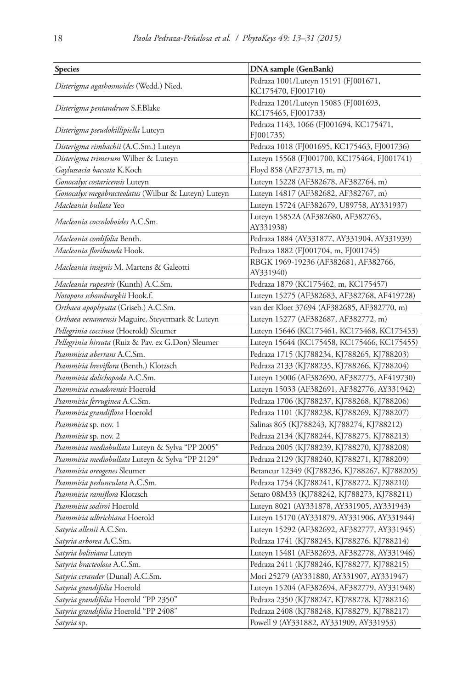| <b>Species</b>                                      | <b>DNA</b> sample (GenBank)                                 |
|-----------------------------------------------------|-------------------------------------------------------------|
| Disterigma agathosmoides (Wedd.) Nied.              | Pedraza 1001/Luteyn 15191 (FJ001671,<br>KC175470, FJ001710) |
| Disterigma pentandrum S.F.Blake                     | Pedraza 1201/Luteyn 15085 (FJ001693,<br>KC175465, FJ001733) |
| Disterigma pseudokillipiella Luteyn                 | Pedraza 1143, 1066 (FJ001694, KC175471,<br>FJ001735)        |
| Disterigma rimbachii (A.C.Sm.) Luteyn               | Pedraza 1018 (FJ001695, KC175463, FJ001736)                 |
| Disterigma trimerum Wilber & Luteyn                 | Luteyn 15568 (FJ001700, KC175464, FJ001741)                 |
| Gaylussacia baccata K.Koch                          | Floyd 858 (AF273713, m, m)                                  |
| Gonocalyx costaricensis Luteyn                      | Luteyn 15228 (AF382678, AF382764, m)                        |
| Gonocalyx megabracteolatus (Wilbur & Luteyn) Luteyn | Luteyn 14817 (AF382682, AF382767, m)                        |
| Macleania bullata Yeo                               | Luteyn 15724 (AF382679, U89758, AY331937)                   |
| Macleania coccoloboides A.C.Sm.                     | Luteyn 15852A (AF382680, AF382765,<br>AY331938)             |
| Macleania cordifolia Benth.                         | Pedraza 1884 (AY331877, AY331904, AY331939)                 |
| Macleania floribunda Hook.                          | Pedraza 1882 (FJ001704, m, FJ001745)                        |
| Macleania insignis M. Martens & Galeotti            | RBGK 1969-19236 (AF382681, AF382766,<br>AY331940)           |
| Macleania rupestris (Kunth) A.C.Sm.                 | Pedraza 1879 (KC175462, m, KC175457)                        |
| Notopora schomburgkii Hook.f.                       | Luteyn 15275 (AF382683, AF382768, AF419728)                 |
| Orthaea apophysata (Griseb.) A.C.Sm.                | van der Kloet 37694 (AF382685, AF382770, m)                 |
| Orthaea venamensis Maguire, Steyermark & Luteyn     | Luteyn 15277 (AF382687, AF382772, m)                        |
| Pellegrinia coccinea (Hoerold) Sleumer              | Luteyn 15646 (KC175461, KC175468, KC175453)                 |
| Pellegrinia hirsuta (Ruiz & Pav. ex G.Don) Sleumer  | Luteyn 15644 (KC175458, KC175466, KC175455)                 |
| Psammisia aberrans A.C.Sm.                          | Pedraza 1715 (KJ788234, KJ788265, KJ788203)                 |
| Psammisia breviflora (Benth.) Klotzsch              | Pedraza 2133 (KJ788235, KJ788266, KJ788204)                 |
| Psammisia dolichopoda A.C.Sm.                       | Luteyn 15006 (AF382690, AF382775, AF419730)                 |
| Psammisia ecuadorensis Hoerold                      | Luteyn 15033 (AF382691, AF382776, AY331942)                 |
| Psammisia ferruginea A.C.Sm.                        | Pedraza 1706 (KJ788237, KJ788268, KJ788206)                 |
| Psammisia grandiflora Hoerold                       | Pedraza 1101 (KJ788238, KJ788269, KJ788207)                 |
| Psammisia sp. nov. 1                                | Salinas 865 (KJ788243, KJ788274, KJ788212)                  |
| Psammisia sp. nov. 2                                | Pedraza 2134 (KJ788244, KJ788275, KJ788213)                 |
| Psammisia mediobullata Luteyn & Sylva "PP 2005"     | Pedraza 2005 (KJ788239, KJ788270, KJ788208)                 |
| Psammisia mediobullata Luteyn & Sylva "PP 2129"     | Pedraza 2129 (KJ788240, KJ788271, KJ788209)                 |
| Psammisia oreogenes Sleumer                         | Betancur 12349 (KJ788236, KJ788267, KJ788205)               |
| Psammisia pedunculata A.C.Sm.                       | Pedraza 1754 (KJ788241, KJ788272, KJ788210)                 |
| Psammisia ramiflora Klotzsch                        | Setaro 08M33 (KJ788242, KJ788273, KJ788211)                 |
| Psammisia sodiroi Hoerold                           | Luteyn 8021 (AY331878, AY331905, AY331943)                  |
| Psammisia ulbrichiana Hoerold                       | Luteyn 15170 (AY331879, AY331906, AY331944)                 |
| Satyria allenii A.C.Sm.                             | Luteyn 15292 (AF382692, AF382777, AY331945)                 |
| Satyria arborea A.C.Sm.                             | Pedraza 1741 (KJ788245, KJ788276, KJ788214)                 |
| Satyria boliviana Luteyn                            | Luteyn 15481 (AF382693, AF382778, AY331946)                 |
| Satyria bracteolosa A.C.Sm.                         | Pedraza 2411 (KJ788246, KJ788277, KJ788215)                 |
| Satyria cerander (Dunal) A.C.Sm.                    | Mori 25279 (AY331880, AY331907, AY331947)                   |
| Satyria grandifolia Hoerold                         | Luteyn 15204 (AF382694, AF382779, AY331948)                 |
| Satyria grandifolia Hoerold "PP 2350"               | Pedraza 2350 (KJ788247, KJ788278, KJ788216)                 |
| Satyria grandifolia Hoerold "PP 2408"               | Pedraza 2408 (KJ788248, KJ788279, KJ788217)                 |
| Satyria sp.                                         | Powell 9 (AY331882, AY331909, AY331953)                     |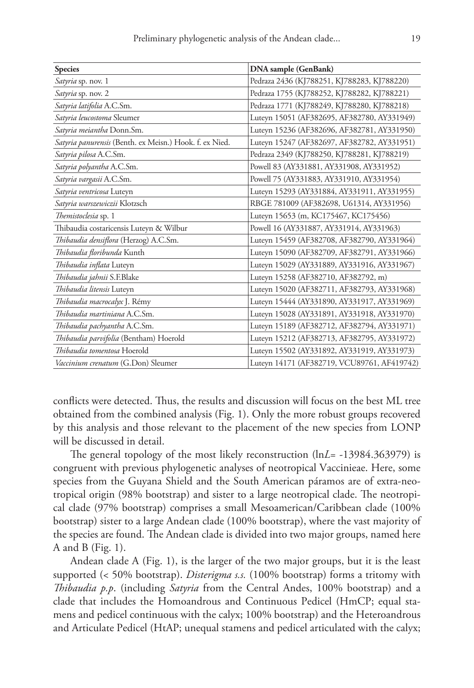| <b>Species</b>                                          | <b>DNA</b> sample (GenBank)                 |
|---------------------------------------------------------|---------------------------------------------|
| Satyria sp. nov. 1                                      | Pedraza 2436 (KJ788251, KJ788283, KJ788220) |
| Satyria sp. nov. 2                                      | Pedraza 1755 (KJ788252, KJ788282, KJ788221) |
| Satyria latifolia A.C.Sm.                               | Pedraza 1771 (KJ788249, KJ788280, KJ788218) |
| Satyria leucostoma Sleumer                              | Luteyn 15051 (AF382695, AF382780, AY331949) |
| Satyria meiantha Donn.Sm.                               | Luteyn 15236 (AF382696, AF382781, AY331950) |
| Satyria panurensis (Benth. ex Meisn.) Hook. f. ex Nied. | Luteyn 15247 (AF382697, AF382782, AY331951) |
| Satyria pilosa A.C.Sm.                                  | Pedraza 2349 (KJ788250, KJ788281, KJ788219) |
| Satyria polyantha A.C.Sm.                               | Powell 83 (AY331881, AY331908, AY331952)    |
| Satyria vargasii A.C.Sm.                                | Powell 75 (AY331883, AY331910, AY331954)    |
| Satyria ventricosa Luteyn                               | Luteyn 15293 (AY331884, AY331911, AY331955) |
| Satyria warszewiczii Klotzsch                           | RBGE 781009 (AF382698, U61314, AY331956)    |
| Themistoclesia sp. 1                                    | Luteyn 15653 (m, KC175467, KC175456)        |
| Thibaudia costaricensis Luteyn & Wilbur                 | Powell 16 (AY331887, AY331914, AY331963)    |
| Thibaudia densiflora (Herzog) A.C.Sm.                   | Luteyn 15459 (AF382708, AF382790, AY331964) |
| Thibaudia floribunda Kunth                              | Luteyn 15090 (AF382709, AF382791, AY331966) |
| Thibaudia inflata Luteyn                                | Luteyn 15029 (AY331889, AY331916, AY331967) |
| Thibaudia jahnii S.F.Blake                              | Luteyn 15258 (AF382710, AF382792, m)        |
| Thibaudia litensis Luteyn                               | Luteyn 15020 (AF382711, AF382793, AY331968) |
| Thibaudia macrocalyx J. Rémy                            | Luteyn 15444 (AY331890, AY331917, AY331969) |
| Thibaudia martiniana A.C.Sm.                            | Luteyn 15028 (AY331891, AY331918, AY331970) |
| Thibaudia pachyantha A.C.Sm.                            | Luteyn 15189 (AF382712, AF382794, AY331971) |
| Thibaudia parvifolia (Bentham) Hoerold                  | Luteyn 15212 (AF382713, AF382795, AY331972) |
| Thibaudia tomentosa Hoerold                             | Luteyn 15502 (AY331892, AY331919, AY331973) |
| Vaccinium crenatum (G.Don) Sleumer                      | Luteyn 14171 (AF382719, VCU89761, AF419742) |

conflicts were detected. Thus, the results and discussion will focus on the best ML tree obtained from the combined analysis (Fig. 1). Only the more robust groups recovered by this analysis and those relevant to the placement of the new species from LONP will be discussed in detail.

The general topology of the most likely reconstruction (ln*L*= -13984.363979) is congruent with previous phylogenetic analyses of neotropical Vaccinieae. Here, some species from the Guyana Shield and the South American páramos are of extra-neotropical origin (98% bootstrap) and sister to a large neotropical clade. The neotropical clade (97% bootstrap) comprises a small Mesoamerican/Caribbean clade (100% bootstrap) sister to a large Andean clade (100% bootstrap), where the vast majority of the species are found. The Andean clade is divided into two major groups, named here A and B (Fig. 1).

Andean clade A (Fig. 1), is the larger of the two major groups, but it is the least supported (< 50% bootstrap). *Disterigma s.s.* (100% bootstrap) forms a tritomy with *Thibaudia p.p*. (including *Satyria* from the Central Andes, 100% bootstrap) and a clade that includes the Homoandrous and Continuous Pedicel (HmCP; equal stamens and pedicel continuous with the calyx; 100% bootstrap) and the Heteroandrous and Articulate Pedicel (HtAP; unequal stamens and pedicel articulated with the calyx;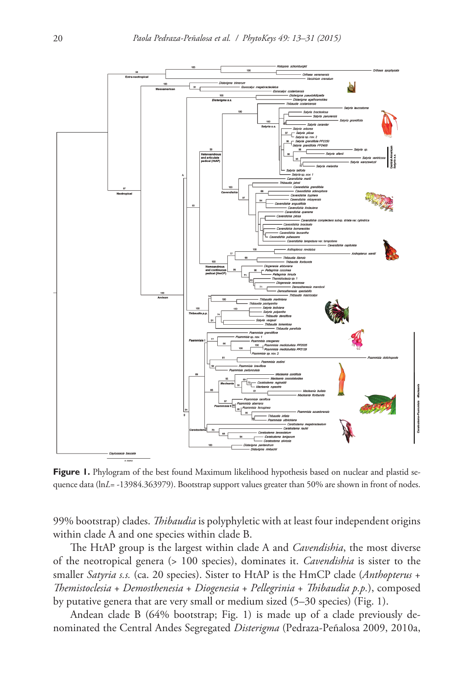

Figure 1. Phylogram of the best found Maximum likelihood hypothesis based on nuclear and plastid sequence data (ln*L*= -13984.363979). Bootstrap support values greater than 50% are shown in front of nodes.

99% bootstrap) clades. *Thibaudia* is polyphyletic with at least four independent origins within clade A and one species within clade B.

The HtAP group is the largest within clade A and *Cavendishia*, the most diverse of the neotropical genera (> 100 species), dominates it. *Cavendishia* is sister to the smaller *Satyria s.s.* (ca. 20 species). Sister to HtAP is the HmCP clade (*Anthopterus* + *Themistoclesia* + *Demosthenesia* + *Diogenesia* + *Pellegrinia* + *Thibaudia p.p.*), composed by putative genera that are very small or medium sized (5–30 species) (Fig. 1).

Andean clade B (64% bootstrap; Fig. 1) is made up of a clade previously denominated the Central Andes Segregated *Disterigma* (Pedraza-Peñalosa 2009, 2010a,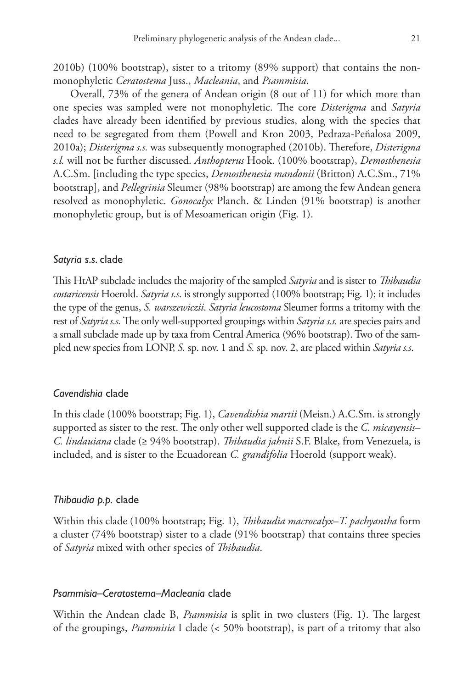2010b) (100% bootstrap), sister to a tritomy (89% support) that contains the nonmonophyletic *Ceratostema* Juss., *Macleania*, and *Psammisia*.

Overall, 73% of the genera of Andean origin (8 out of 11) for which more than one species was sampled were not monophyletic. The core *Disterigma* and *Satyria*  clades have already been identified by previous studies, along with the species that need to be segregated from them (Powell and Kron 2003, Pedraza-Peñalosa 2009, 2010a); *Disterigma s.s.* was subsequently monographed (2010b). Therefore, *Disterigma s.l.* will not be further discussed. *Anthopterus* Hook. (100% bootstrap), *Demosthenesia* A.C.Sm. [including the type species, *Demosthenesia mandonii* (Britton) A.C.Sm., 71% bootstrap], and *Pellegrinia* Sleumer (98% bootstrap) are among the few Andean genera resolved as monophyletic. *Gonocalyx* Planch. & Linden (91% bootstrap) is another monophyletic group, but is of Mesoamerican origin (Fig. 1).

#### *Satyria s.s.* clade

This HtAP subclade includes the majority of the sampled *Satyria* and is sister to *Thibaudia costaricensis* Hoerold. *Satyria s.s*. is strongly supported (100% bootstrap; Fig. 1); it includes the type of the genus, *S. warszewiczii*. *Satyria leucostoma* Sleumer forms a tritomy with the rest of *Satyria s.s*. The only well-supported groupings within *Satyria s.s.* are species pairs and a small subclade made up by taxa from Central America (96% bootstrap). Two of the sampled new species from LONP, *S.* sp. nov. 1 and *S.* sp. nov. 2, are placed within *Satyria s.s*.

# *Cavendishia* clade

In this clade (100% bootstrap; Fig. 1), *Cavendishia martii* (Meisn.) A.C.Sm. is strongly supported as sister to the rest. The only other well supported clade is the *C. micayensis*– *C. lindauiana* clade (≥ 94% bootstrap). *Thibaudia jahnii* S.F. Blake, from Venezuela, is included, and is sister to the Ecuadorean *C. grandifolia* Hoerold (support weak).

## *Thibaudia p.p.* clade

Within this clade (100% bootstrap; Fig. 1), *Thibaudia macrocalyx*–*T. pachyantha* form a cluster (74% bootstrap) sister to a clade (91% bootstrap) that contains three species of *Satyria* mixed with other species of *Thibaudia*.

# *Psammisia*–*Ceratostema*–*Macleania* clade

Within the Andean clade B, *Psammisia* is split in two clusters (Fig. 1). The largest of the groupings, *Psammisia* I clade (< 50% bootstrap), is part of a tritomy that also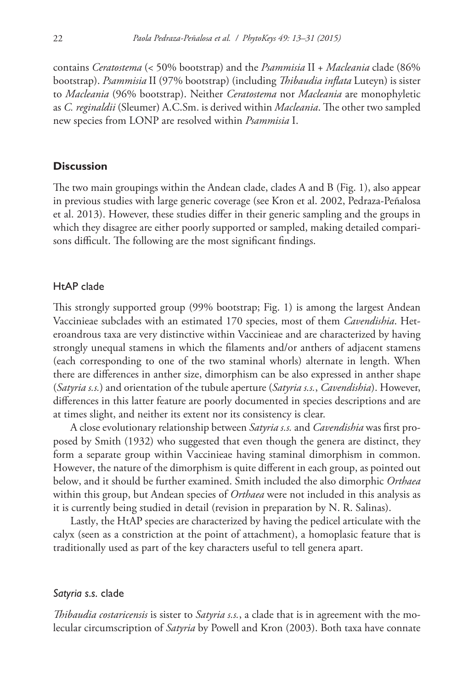contains *Ceratostema* (< 50% bootstrap) and the *Psammisia* II + *Macleania* clade (86% bootstrap). *Psammisia* II (97% bootstrap) (including *Thibaudia inflata* Luteyn) is sister to *Macleania* (96% bootstrap). Neither *Ceratostema* nor *Macleania* are monophyletic as *C. reginaldii* (Sleumer) A.C.Sm. is derived within *Macleania*. The other two sampled new species from LONP are resolved within *Psammisia* I.

## **Discussion**

The two main groupings within the Andean clade, clades A and B (Fig. 1), also appear in previous studies with large generic coverage (see Kron et al. 2002, Pedraza-Peñalosa et al. 2013). However, these studies differ in their generic sampling and the groups in which they disagree are either poorly supported or sampled, making detailed comparisons difficult. The following are the most significant findings.

#### HtAP clade

This strongly supported group (99% bootstrap; Fig. 1) is among the largest Andean Vaccinieae subclades with an estimated 170 species, most of them *Cavendishia*. Heteroandrous taxa are very distinctive within Vaccinieae and are characterized by having strongly unequal stamens in which the filaments and/or anthers of adjacent stamens (each corresponding to one of the two staminal whorls) alternate in length. When there are differences in anther size, dimorphism can be also expressed in anther shape (*Satyria s.s.*) and orientation of the tubule aperture (*Satyria s.s.*, *Cavendishia*). However, differences in this latter feature are poorly documented in species descriptions and are at times slight, and neither its extent nor its consistency is clear.

A close evolutionary relationship between *Satyria s.s.* and *Cavendishia* was first proposed by Smith (1932) who suggested that even though the genera are distinct, they form a separate group within Vaccinieae having staminal dimorphism in common. However, the nature of the dimorphism is quite different in each group, as pointed out below, and it should be further examined. Smith included the also dimorphic *Orthaea* within this group, but Andean species of *Orthaea* were not included in this analysis as it is currently being studied in detail (revision in preparation by N. R. Salinas).

Lastly, the HtAP species are characterized by having the pedicel articulate with the calyx (seen as a constriction at the point of attachment), a homoplasic feature that is traditionally used as part of the key characters useful to tell genera apart.

#### *Satyria s.s.* clade

*Thibaudia costaricensis* is sister to *Satyria s.s.*, a clade that is in agreement with the molecular circumscription of *Satyria* by Powell and Kron (2003). Both taxa have connate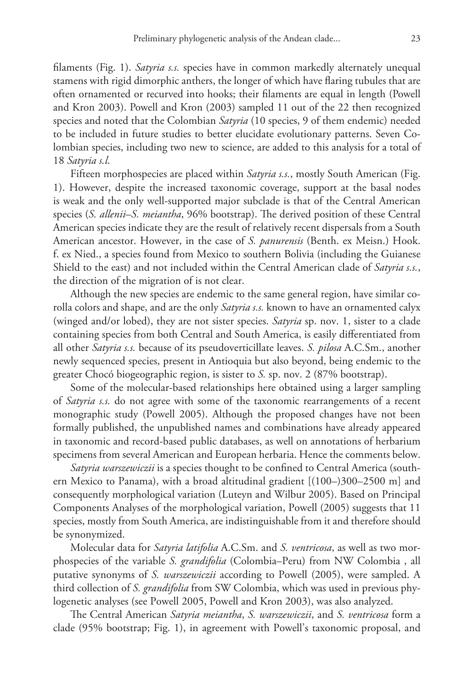filaments (Fig. 1). *Satyria s.s.* species have in common markedly alternately unequal stamens with rigid dimorphic anthers, the longer of which have flaring tubules that are often ornamented or recurved into hooks; their filaments are equal in length (Powell and Kron 2003). Powell and Kron (2003) sampled 11 out of the 22 then recognized species and noted that the Colombian *Satyria* (10 species, 9 of them endemic) needed to be included in future studies to better elucidate evolutionary patterns. Seven Colombian species, including two new to science, are added to this analysis for a total of 18 *Satyria s.l*.

Fifteen morphospecies are placed within *Satyria s.s.*, mostly South American (Fig. 1). However, despite the increased taxonomic coverage, support at the basal nodes is weak and the only well-supported major subclade is that of the Central American species (*S. allenii*–*S. meiantha*, 96% bootstrap). The derived position of these Central American species indicate they are the result of relatively recent dispersals from a South American ancestor. However, in the case of *S. panurensis* (Benth. ex Meisn.) Hook. f. ex Nied., a species found from Mexico to southern Bolivia (including the Guianese Shield to the east) and not included within the Central American clade of *Satyria s.s.*, the direction of the migration of is not clear.

Although the new species are endemic to the same general region, have similar corolla colors and shape, and are the only *Satyria s.s.* known to have an ornamented calyx (winged and/or lobed), they are not sister species. *Satyria* sp. nov. 1, sister to a clade containing species from both Central and South America, is easily differentiated from all other *Satyria s.s.* because of its pseudoverticillate leaves. *S. pilosa* A.C.Sm., another newly sequenced species, present in Antioquia but also beyond, being endemic to the greater Chocó biogeographic region, is sister to *S.* sp. nov. 2 (87% bootstrap).

Some of the molecular-based relationships here obtained using a larger sampling of *Satyria s.s.* do not agree with some of the taxonomic rearrangements of a recent monographic study (Powell 2005). Although the proposed changes have not been formally published, the unpublished names and combinations have already appeared in taxonomic and record-based public databases, as well on annotations of herbarium specimens from several American and European herbaria. Hence the comments below.

*Satyria warszewiczii* is a species thought to be confined to Central America (southern Mexico to Panama), with a broad altitudinal gradient [(100–)300–2500 m] and consequently morphological variation (Luteyn and Wilbur 2005). Based on Principal Components Analyses of the morphological variation, Powell (2005) suggests that 11 species, mostly from South America, are indistinguishable from it and therefore should be synonymized.

Molecular data for *Satyria latifolia* A.C.Sm. and *S. ventricosa*, as well as two morphospecies of the variable *S. grandifolia* (Colombia–Peru) from NW Colombia , all putative synonyms of *S. warszewiczii* according to Powell (2005), were sampled. A third collection of *S. grandifolia* from SW Colombia, which was used in previous phylogenetic analyses (see Powell 2005, Powell and Kron 2003), was also analyzed.

The Central American *Satyria meiantha*, *S. warszewiczii*, and *S. ventricosa* form a clade (95% bootstrap; Fig. 1), in agreement with Powell's taxonomic proposal, and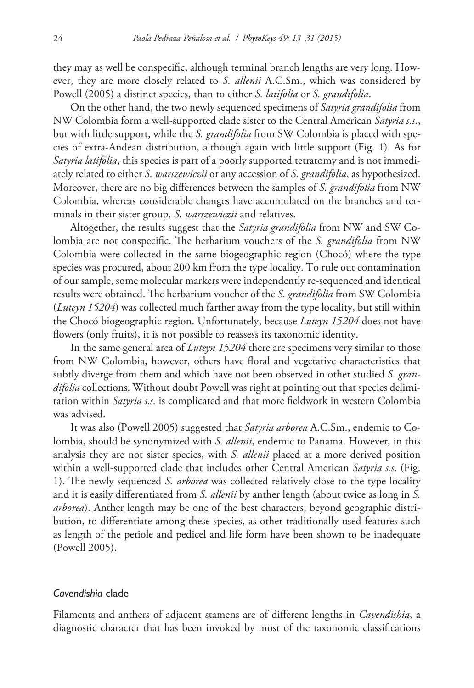they may as well be conspecific, although terminal branch lengths are very long. However, they are more closely related to *S. allenii* A.C.Sm., which was considered by Powell (2005) a distinct species, than to either *S. latifolia* or *S. grandifolia*.

On the other hand, the two newly sequenced specimens of *Satyria grandifolia* from NW Colombia form a well-supported clade sister to the Central American *Satyria s.s*., but with little support, while the *S. grandifolia* from SW Colombia is placed with species of extra-Andean distribution, although again with little support (Fig. 1). As for *Satyria latifolia*, this species is part of a poorly supported tetratomy and is not immediately related to either *S. warszewiczii* or any accession of *S. grandifolia*, as hypothesized. Moreover, there are no big differences between the samples of *S. grandifolia* from NW Colombia, whereas considerable changes have accumulated on the branches and terminals in their sister group, *S. warszewiczii* and relatives.

Altogether, the results suggest that the *Satyria grandifolia* from NW and SW Colombia are not conspecific. The herbarium vouchers of the *S. grandifolia* from NW Colombia were collected in the same biogeographic region (Chocó) where the type species was procured, about 200 km from the type locality. To rule out contamination of our sample, some molecular markers were independently re-sequenced and identical results were obtained. The herbarium voucher of the *S. grandifolia* from SW Colombia (*Luteyn 15204*) was collected much farther away from the type locality, but still within the Chocó biogeographic region. Unfortunately, because *Luteyn 15204* does not have flowers (only fruits), it is not possible to reassess its taxonomic identity.

In the same general area of *Luteyn 15204* there are specimens very similar to those from NW Colombia, however, others have floral and vegetative characteristics that subtly diverge from them and which have not been observed in other studied *S. grandifolia* collections. Without doubt Powell was right at pointing out that species delimitation within *Satyria s.s.* is complicated and that more fieldwork in western Colombia was advised.

It was also (Powell 2005) suggested that *Satyria arborea* A.C.Sm., endemic to Colombia, should be synonymized with *S. allenii*, endemic to Panama. However, in this analysis they are not sister species, with *S. allenii* placed at a more derived position within a well-supported clade that includes other Central American *Satyria s.s*. (Fig. 1). The newly sequenced *S. arborea* was collected relatively close to the type locality and it is easily differentiated from *S. allenii* by anther length (about twice as long in *S. arborea*). Anther length may be one of the best characters, beyond geographic distribution, to differentiate among these species, as other traditionally used features such as length of the petiole and pedicel and life form have been shown to be inadequate (Powell 2005).

# *Cavendishia* clade

Filaments and anthers of adjacent stamens are of different lengths in *Cavendishia*, a diagnostic character that has been invoked by most of the taxonomic classifications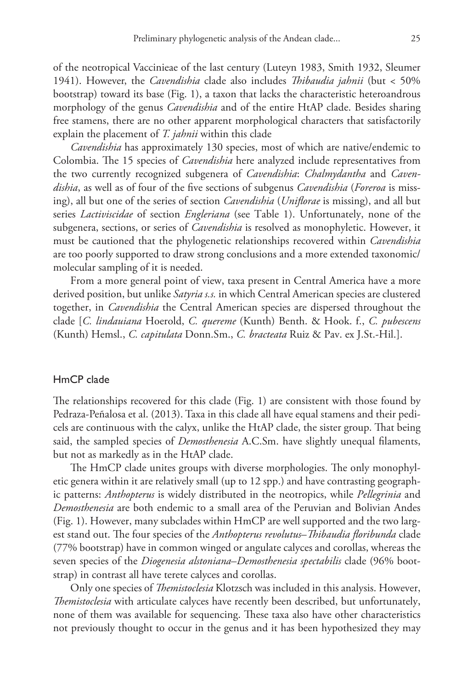of the neotropical Vaccinieae of the last century (Luteyn 1983, Smith 1932, Sleumer 1941). However, the *Cavendishia* clade also includes *Thibaudia jahnii* (but < 50% bootstrap) toward its base (Fig. 1), a taxon that lacks the characteristic heteroandrous morphology of the genus *Cavendishia* and of the entire HtAP clade. Besides sharing free stamens, there are no other apparent morphological characters that satisfactorily explain the placement of *T. jahnii* within this clade

*Cavendishia* has approximately 130 species, most of which are native/endemic to Colombia. The 15 species of *Cavendishia* here analyzed include representatives from the two currently recognized subgenera of *Cavendishia*: *Chalmydantha* and *Cavendishia*, as well as of four of the five sections of subgenus *Cavendishia* (*Foreroa* is missing), all but one of the series of section *Cavendishia* (*Uniflorae* is missing), and all but series *Lactiviscidae* of section *Engleriana* (see Table 1). Unfortunately, none of the subgenera, sections, or series of *Cavendishia* is resolved as monophyletic. However, it must be cautioned that the phylogenetic relationships recovered within *Cavendishia* are too poorly supported to draw strong conclusions and a more extended taxonomic/ molecular sampling of it is needed.

From a more general point of view, taxa present in Central America have a more derived position, but unlike *Satyria s.s.* in which Central American species are clustered together, in *Cavendishia* the Central American species are dispersed throughout the clade [*C. lindauiana* Hoerold, *C. quereme* (Kunth) Benth. & Hook. f., *C. pubescens* (Kunth) Hemsl., *C. capitulata* Donn.Sm., *C. bracteata* Ruiz & Pav. ex J.St.-Hil.].

# HmCP clade

The relationships recovered for this clade (Fig. 1) are consistent with those found by Pedraza-Peñalosa et al. (2013). Taxa in this clade all have equal stamens and their pedicels are continuous with the calyx, unlike the HtAP clade, the sister group. That being said, the sampled species of *Demosthenesia* A.C.Sm. have slightly unequal filaments, but not as markedly as in the HtAP clade.

The HmCP clade unites groups with diverse morphologies. The only monophyletic genera within it are relatively small (up to 12 spp.) and have contrasting geographic patterns: *Anthopterus* is widely distributed in the neotropics, while *Pellegrinia* and *Demosthenesia* are both endemic to a small area of the Peruvian and Bolivian Andes (Fig. 1). However, many subclades within HmCP are well supported and the two largest stand out. The four species of the *Anthopterus revolutus*–*Thibaudia floribunda* clade (77% bootstrap) have in common winged or angulate calyces and corollas, whereas the seven species of the *Diogenesia alstoniana*–*Demosthenesia spectabilis* clade (96% bootstrap) in contrast all have terete calyces and corollas.

Only one species of *Themistoclesia* Klotzsch was included in this analysis. However, *Themistoclesia* with articulate calyces have recently been described, but unfortunately, none of them was available for sequencing. These taxa also have other characteristics not previously thought to occur in the genus and it has been hypothesized they may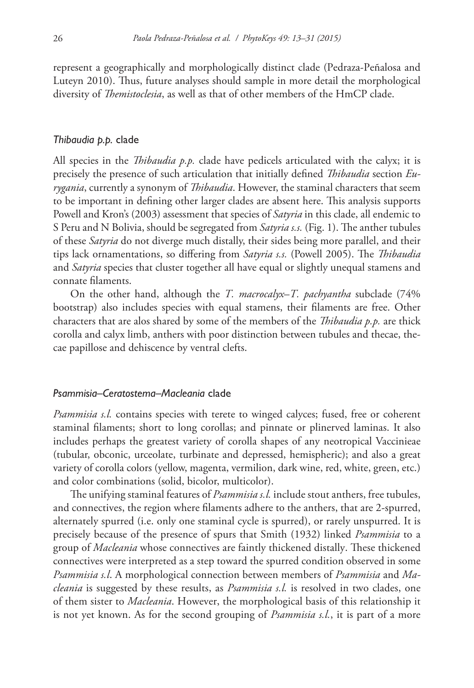represent a geographically and morphologically distinct clade (Pedraza-Peñalosa and Luteyn 2010). Thus, future analyses should sample in more detail the morphological diversity of *Themistoclesia*, as well as that of other members of the HmCP clade.

#### *Thibaudia p.p.* clade

All species in the *Thibaudia p.p.* clade have pedicels articulated with the calyx; it is precisely the presence of such articulation that initially defined *Thibaudia* section *Eurygania*, currently a synonym of *Thibaudia*. However, the staminal characters that seem to be important in defining other larger clades are absent here. This analysis supports Powell and Kron's (2003) assessment that species of *Satyria* in this clade, all endemic to S Peru and N Bolivia, should be segregated from *Satyria s.s.* (Fig. 1). The anther tubules of these *Satyria* do not diverge much distally, their sides being more parallel, and their tips lack ornamentations, so differing from *Satyria s.s.* (Powell 2005). The *Thibaudia*  and *Satyria* species that cluster together all have equal or slightly unequal stamens and connate filaments.

On the other hand, although the *T. macrocalyx*–*T. pachyantha* subclade (74% bootstrap) also includes species with equal stamens, their filaments are free. Other characters that are alos shared by some of the members of the *Thibaudia p.p.* are thick corolla and calyx limb, anthers with poor distinction between tubules and thecae, thecae papillose and dehiscence by ventral clefts.

# *Psammisia*–*Ceratostema*–*Macleania* clade

*Psammisia s.l.* contains species with terete to winged calyces; fused, free or coherent staminal filaments; short to long corollas; and pinnate or plinerved laminas. It also includes perhaps the greatest variety of corolla shapes of any neotropical Vaccinieae (tubular, obconic, urceolate, turbinate and depressed, hemispheric); and also a great variety of corolla colors (yellow, magenta, vermilion, dark wine, red, white, green, etc.) and color combinations (solid, bicolor, multicolor).

The unifying staminal features of *Psammisia s.l.* include stout anthers, free tubules, and connectives, the region where filaments adhere to the anthers, that are 2-spurred, alternately spurred (i.e. only one staminal cycle is spurred), or rarely unspurred. It is precisely because of the presence of spurs that Smith (1932) linked *Psammisia* to a group of *Macleania* whose connectives are faintly thickened distally. These thickened connectives were interpreted as a step toward the spurred condition observed in some *Psammisia s.l*. A morphological connection between members of *Psammisia* and *Macleania* is suggested by these results, as *Psammisia s.l.* is resolved in two clades, one of them sister to *Macleania*. However, the morphological basis of this relationship it is not yet known. As for the second grouping of *Psammisia s.l.*, it is part of a more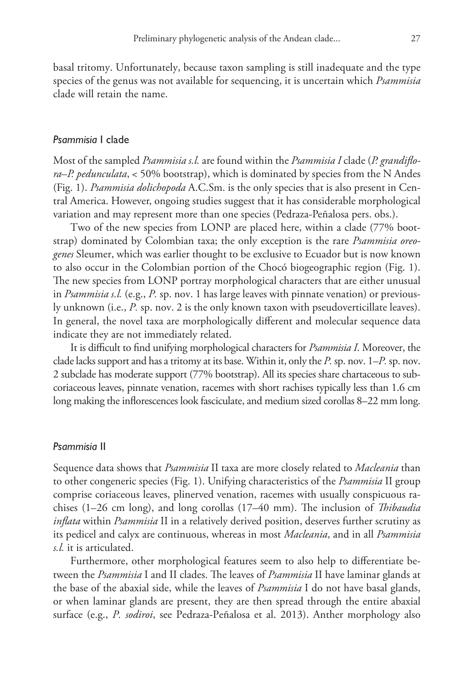basal tritomy. Unfortunately, because taxon sampling is still inadequate and the type species of the genus was not available for sequencing, it is uncertain which *Psammisia*  clade will retain the name.

#### *Psammisia* I clade

Most of the sampled *Psammisia s.l.* are found within the *Psammisia I* clade (*P. grandiflora*–*P. pedunculata*, < 50% bootstrap), which is dominated by species from the N Andes (Fig. 1). *Psammisia dolichopoda* A.C.Sm. is the only species that is also present in Central America. However, ongoing studies suggest that it has considerable morphological variation and may represent more than one species (Pedraza-Peñalosa pers. obs.).

Two of the new species from LONP are placed here, within a clade (77% bootstrap) dominated by Colombian taxa; the only exception is the rare *Psammisia oreogenes* Sleumer, which was earlier thought to be exclusive to Ecuador but is now known to also occur in the Colombian portion of the Chocó biogeographic region (Fig. 1). The new species from LONP portray morphological characters that are either unusual in *Psammisia s.l.* (e.g., *P.* sp. nov. 1 has large leaves with pinnate venation) or previously unknown (i.e., *P.* sp. nov. 2 is the only known taxon with pseudoverticillate leaves). In general, the novel taxa are morphologically different and molecular sequence data indicate they are not immediately related.

It is difficult to find unifying morphological characters for *Psammisia I*. Moreover, the clade lacks support and has a tritomy at its base. Within it, only the *P.* sp. nov. 1–*P.* sp. nov. 2 subclade has moderate support (77% bootstrap). All its species share chartaceous to subcoriaceous leaves, pinnate venation, racemes with short rachises typically less than 1.6 cm long making the inflorescences look fasciculate, and medium sized corollas 8–22 mm long.

#### *Psammisia* II

Sequence data shows that *Psammisia* II taxa are more closely related to *Macleania* than to other congeneric species (Fig. 1). Unifying characteristics of the *Psammisia* II group comprise coriaceous leaves, plinerved venation, racemes with usually conspicuous rachises (1–26 cm long), and long corollas (17–40 mm). The inclusion of *Thibaudia inflata* within *Psammisia* II in a relatively derived position, deserves further scrutiny as its pedicel and calyx are continuous, whereas in most *Macleania*, and in all *Psammisia s.l.* it is articulated.

Furthermore, other morphological features seem to also help to differentiate between the *Psammisia* I and II clades. The leaves of *Psammisia* II have laminar glands at the base of the abaxial side, while the leaves of *Psammisia* I do not have basal glands, or when laminar glands are present, they are then spread through the entire abaxial surface (e.g., *P. sodiroi*, see Pedraza-Peñalosa et al. 2013). Anther morphology also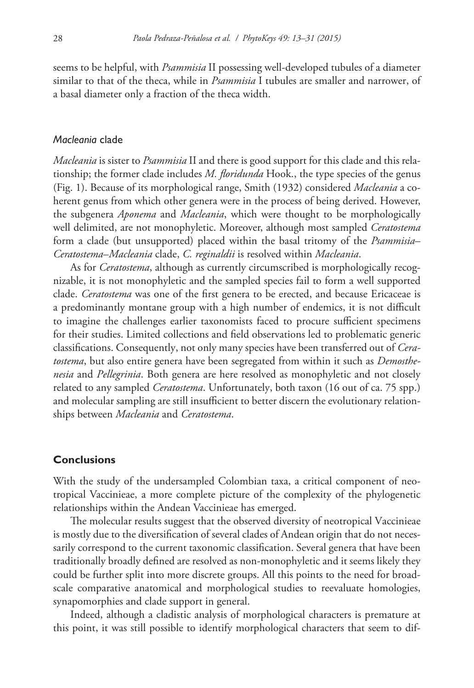seems to be helpful, with *Psammisia* II possessing well-developed tubules of a diameter similar to that of the theca, while in *Psammisia* I tubules are smaller and narrower, of a basal diameter only a fraction of the theca width.

#### *Macleania* clade

*Macleania* is sister to *Psammisia* II and there is good support for this clade and this relationship; the former clade includes *M. floridunda* Hook., the type species of the genus (Fig. 1). Because of its morphological range, Smith (1932) considered *Macleania* a coherent genus from which other genera were in the process of being derived. However, the subgenera *Aponema* and *Macleania*, which were thought to be morphologically well delimited, are not monophyletic. Moreover, although most sampled *Ceratostema* form a clade (but unsupported) placed within the basal tritomy of the *Psammisia*– *Ceratostema*–*Macleania* clade, *C. reginaldii* is resolved within *Macleania*.

As for *Ceratostema*, although as currently circumscribed is morphologically recognizable, it is not monophyletic and the sampled species fail to form a well supported clade. *Ceratostema* was one of the first genera to be erected, and because Ericaceae is a predominantly montane group with a high number of endemics, it is not difficult to imagine the challenges earlier taxonomists faced to procure sufficient specimens for their studies. Limited collections and field observations led to problematic generic classifications. Consequently, not only many species have been transferred out of *Ceratostema*, but also entire genera have been segregated from within it such as *Demosthenesia* and *Pellegrinia*. Both genera are here resolved as monophyletic and not closely related to any sampled *Ceratostema*. Unfortunately, both taxon (16 out of ca. 75 spp.) and molecular sampling are still insufficient to better discern the evolutionary relationships between *Macleania* and *Ceratostema*.

# **Conclusions**

With the study of the undersampled Colombian taxa, a critical component of neotropical Vaccinieae, a more complete picture of the complexity of the phylogenetic relationships within the Andean Vaccinieae has emerged.

The molecular results suggest that the observed diversity of neotropical Vaccinieae is mostly due to the diversification of several clades of Andean origin that do not necessarily correspond to the current taxonomic classification. Several genera that have been traditionally broadly defined are resolved as non-monophyletic and it seems likely they could be further split into more discrete groups. All this points to the need for broadscale comparative anatomical and morphological studies to reevaluate homologies, synapomorphies and clade support in general.

Indeed, although a cladistic analysis of morphological characters is premature at this point, it was still possible to identify morphological characters that seem to dif-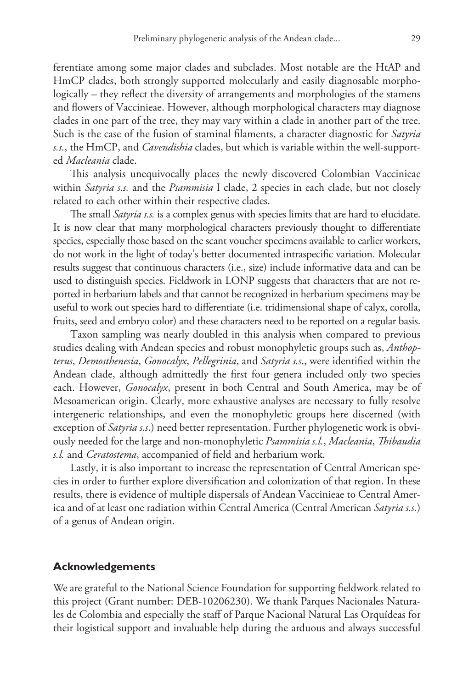ferentiate among some major clades and subclades. Most notable are the HtAP and HmCP clades, both strongly supported molecularly and easily diagnosable morphologically – they reflect the diversity of arrangements and morphologies of the stamens and flowers of Vaccinieae. However, although morphological characters may diagnose clades in one part of the tree, they may vary within a clade in another part of the tree. Such is the case of the fusion of staminal filaments, a character diagnostic for *Satyria s.s.*, the HmCP, and *Cavendishia* clades, but which is variable within the well-supported *Macleania* clade.

This analysis unequivocally places the newly discovered Colombian Vaccinieae within *Satyria s.s.* and the *Psammisia* I clade, 2 species in each clade, but not closely related to each other within their respective clades.

The small *Satyria s.s.* is a complex genus with species limits that are hard to elucidate. It is now clear that many morphological characters previously thought to differentiate species, especially those based on the scant voucher specimens available to earlier workers, do not work in the light of today's better documented intraspecific variation. Molecular results suggest that continuous characters (i.e., size) include informative data and can be used to distinguish species. Fieldwork in LONP suggests that characters that are not reported in herbarium labels and that cannot be recognized in herbarium specimens may be useful to work out species hard to differentiate (i.e. tridimensional shape of calyx, corolla, fruits, seed and embryo color) and these characters need to be reported on a regular basis.

Taxon sampling was nearly doubled in this analysis when compared to previous studies dealing with Andean species and robust monophyletic groups such as, *Anthopterus*, *Demosthenesia*, *Gonocalyx*, *Pellegrinia*, and *Satyria s.s*., were identified within the Andean clade, although admittedly the first four genera included only two species each. However, *Gonocalyx*, present in both Central and South America, may be of Mesoamerican origin. Clearly, more exhaustive analyses are necessary to fully resolve intergeneric relationships, and even the monophyletic groups here discerned (with exception of *Satyria s.s*.) need better representation. Further phylogenetic work is obviously needed for the large and non-monophyletic *Psammisia s.l.*, *Macleania*, *Thibaudia s.l.* and *Ceratostema*, accompanied of field and herbarium work.

Lastly, it is also important to increase the representation of Central American species in order to further explore diversification and colonization of that region. In these results, there is evidence of multiple dispersals of Andean Vaccinieae to Central America and of at least one radiation within Central America (Central American *Satyria s.s.*) of a genus of Andean origin.

# **Acknowledgements**

We are grateful to the National Science Foundation for supporting fieldwork related to this project (Grant number: DEB-10206230). We thank Parques Nacionales Naturales de Colombia and especially the staff of Parque Nacional Natural Las Orquídeas for their logistical support and invaluable help during the arduous and always successful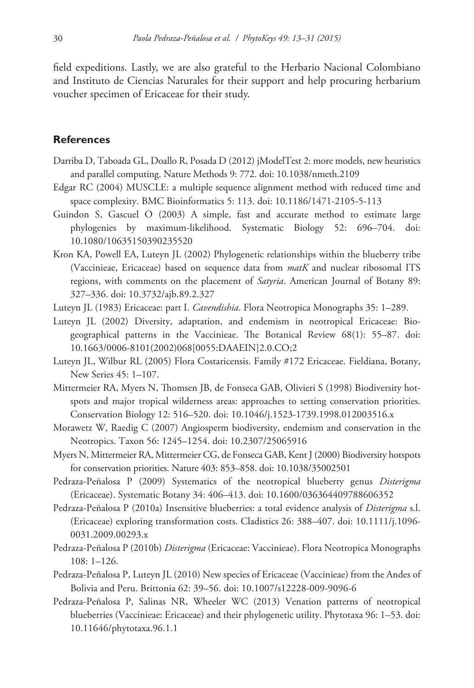field expeditions. Lastly, we are also grateful to the Herbario Nacional Colombiano and Instituto de Ciencias Naturales for their support and help procuring herbarium voucher specimen of Ericaceae for their study.

# **References**

- Darriba D, Taboada GL, Doallo R, Posada D (2012) jModelTest 2: more models, new heuristics and parallel computing. Nature Methods 9: 772. [doi: 10.1038/nmeth.2109](http://dx.doi.org/10.1038/nmeth.2109)
- Edgar RC (2004) MUSCLE: a multiple sequence alignment method with reduced time and space complexity. BMC Bioinformatics 5: 113. [doi: 10.1186/1471-2105-5-113](http://dx.doi.org/10.1186/1471-2105-5-113)
- Guindon S, Gascuel O (2003) A simple, fast and accurate method to estimate large phylogenies by maximum-likelihood. Systematic Biology 52: 696–704. [doi:](http://dx.doi.org/10.1080/10635150390235520) [10.1080/10635150390235520](http://dx.doi.org/10.1080/10635150390235520)
- Kron KA, Powell EA, Luteyn JL (2002) Phylogenetic relationships within the blueberry tribe (Vaccinieae, Ericaceae) based on sequence data from *matK* and nuclear ribosomal ITS regions, with comments on the placement of *Satyria*. American Journal of Botany 89: 327–336. [doi: 10.3732/ajb.89.2.327](http://dx.doi.org/10.3732/ajb.89.2.327)
- Luteyn JL (1983) Ericaceae: part I. *Cavendishia*. Flora Neotropica Monographs 35: 1–289.
- Luteyn JL (2002) Diversity, adaptation, and endemism in neotropical Ericaceae: Biogeographical patterns in the Vaccinieae. The Botanical Review 68(1): 55–87. [doi:](http://dx.doi.org/10.1663/0006-8101(2002)068%5B0055:DAAEIN%5D2.0.CO;2) [10.1663/0006-8101\(2002\)068\[0055:DAAEIN\]2.0.CO;2](http://dx.doi.org/10.1663/0006-8101(2002)068%5B0055:DAAEIN%5D2.0.CO;2)
- Luteyn JL, Wilbur RL (2005) Flora Costaricensis. Family #172 Ericaceae. Fieldiana, Botany, New Series 45: 1–107.
- Mittermeier RA, Myers N, Thomsen JB, de Fonseca GAB, Olivieri S (1998) Biodiversity hotspots and major tropical wilderness areas: approaches to setting conservation priorities. Conservation Biology 12: 516–520. [doi: 10.1046/j.1523-1739.1998.012003516.x](http://dx.doi.org/10.1046/j.1523-1739.1998.012003516.x)
- Morawetz W, Raedig C (2007) Angiosperm biodiversity, endemism and conservation in the Neotropics. Taxon 56: 1245–1254. [doi: 10.2307/25065916](http://dx.doi.org/10.2307/25065916)
- Myers N, Mittermeier RA, Mittermeier CG, de Fonseca GAB, Kent J (2000) Biodiversity hotspots for conservation priorities. Nature 403: 853–858. [doi: 10.1038/35002501](http://dx.doi.org/10.1038/35002501)
- Pedraza-Peñalosa P (2009) Systematics of the neotropical blueberry genus *Disterigma* (Ericaceae). Systematic Botany 34: 406–413. [doi: 10.1600/036364409788606352](http://dx.doi.org/10.1600/036364409788606352)
- Pedraza-Peñalosa P (2010a) Insensitive blueberries: a total evidence analysis of *Disterigma* s.l. (Ericaceae) exploring transformation costs. Cladistics 26: 388–407. [doi: 10.1111/j.1096-](http://dx.doi.org/10.1111/j.1096-0031.2009.00293.x) [0031.2009.00293.x](http://dx.doi.org/10.1111/j.1096-0031.2009.00293.x)
- Pedraza-Peñalosa P (2010b) *Disterigma* (Ericaceae: Vaccinieae). Flora Neotropica Monographs 108: 1–126.
- Pedraza-Peñalosa P, Luteyn JL (2010) New species of Ericaceae (Vaccinieae) from the Andes of Bolivia and Peru. Brittonia 62: 39–56. [doi: 10.1007/s12228-009-9096-6](http://dx.doi.org/10.1007/s12228-009-9096-6)
- Pedraza-Peñalosa P, Salinas NR, Wheeler WC (2013) Venation patterns of neotropical blueberries (Vaccinieae: Ericaceae) and their phylogenetic utility. Phytotaxa 96: 1–53. [doi:](http://dx.doi.org/10.11646/phytotaxa.96.1.1) [10.11646/phytotaxa.96.1.1](http://dx.doi.org/10.11646/phytotaxa.96.1.1)